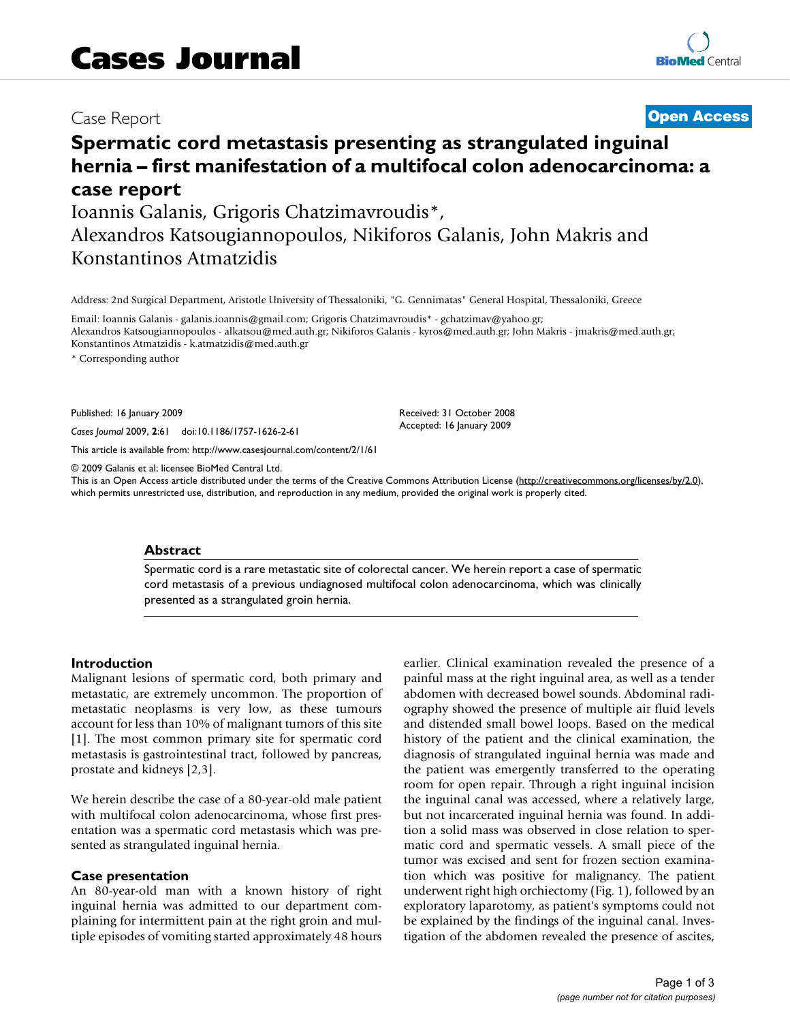# Case Report **[Open Access](http://www.biomedcentral.com/info/about/charter/)**

# **Spermatic cord metastasis presenting as strangulated inguinal hernia – first manifestation of a multifocal colon adenocarcinoma: a case report**

Ioannis Galanis, Grigoris Chatzimavroudis\*, Alexandros Katsougiannopoulos, Nikiforos Galanis, John Makris and Konstantinos Atmatzidis

Address: 2nd Surgical Department, Aristotle University of Thessaloniki, "G. Gennimatas" General Hospital, Thessaloniki, Greece

Email: Ioannis Galanis - galanis.ioannis@gmail.com; Grigoris Chatzimavroudis\* - gchatzimav@yahoo.gr; Alexandros Katsougiannopoulos - alkatsou@med.auth.gr; Nikiforos Galanis - kyros@med.auth.gr; John Makris - jmakris@med.auth.gr; Konstantinos Atmatzidis - k.atmatzidis@med.auth.gr

\* Corresponding author

Published: 16 January 2009

*Cases Journal* 2009, **2**:61 doi:10.1186/1757-1626-2-61

[This article is available from: http://www.casesjournal.com/content/2/1/61](http://www.casesjournal.com/content/2/1/61)

© 2009 Galanis et al; licensee BioMed Central Ltd.

This is an Open Access article distributed under the terms of the Creative Commons Attribution License [\(http://creativecommons.org/licenses/by/2.0\)](http://creativecommons.org/licenses/by/2.0), which permits unrestricted use, distribution, and reproduction in any medium, provided the original work is properly cited.

Received: 31 October 2008 Accepted: 16 January 2009

### **Abstract**

Spermatic cord is a rare metastatic site of colorectal cancer. We herein report a case of spermatic cord metastasis of a previous undiagnosed multifocal colon adenocarcinoma, which was clinically presented as a strangulated groin hernia.

### **Introduction**

Malignant lesions of spermatic cord, both primary and metastatic, are extremely uncommon. The proportion of metastatic neoplasms is very low, as these tumours account for less than 10% of malignant tumors of this site [[1\]](#page-2-0). The most common primary site for spermatic cord metastasis is gastrointestinal tract, followed by pancreas, prostate and kidneys [\[2,](#page-2-1)[3\]](#page-2-2).

We herein describe the case of a 80-year-old male patient with multifocal colon adenocarcinoma, whose first presentation was a spermatic cord metastasis which was presented as strangulated inguinal hernia.

### **Case presentation**

An 80-year-old man with a known history of right inguinal hernia was admitted to our department complaining for intermittent pain at the right groin and multiple episodes of vomiting started approximately 48 hours earlier. Clinical examination revealed the presence of a painful mass at the right inguinal area, as well as a tender abdomen with decreased bowel sounds. Abdominal radiography showed the presence of multiple air fluid levels and distended small bowel loops. Based on the medical history of the patient and the clinical examination, the diagnosis of strangulated inguinal hernia was made and the patient was emergently transferred to the operating room for open repair. Through a right inguinal incision the inguinal canal was accessed, where a relatively large, but not incarcerated inguinal hernia was found. In addition a solid mass was observed in close relation to spermatic cord and spermatic vessels. A small piece of the tumor was excised and sent for frozen section examination which was positive for malignancy. The patient underwent right high orchiectomy (Fig. [1\)](#page-1-0), followed by an exploratory laparotomy, as patient's symptoms could not be explained by the findings of the inguinal canal. Investigation of the abdomen revealed the presence of ascites,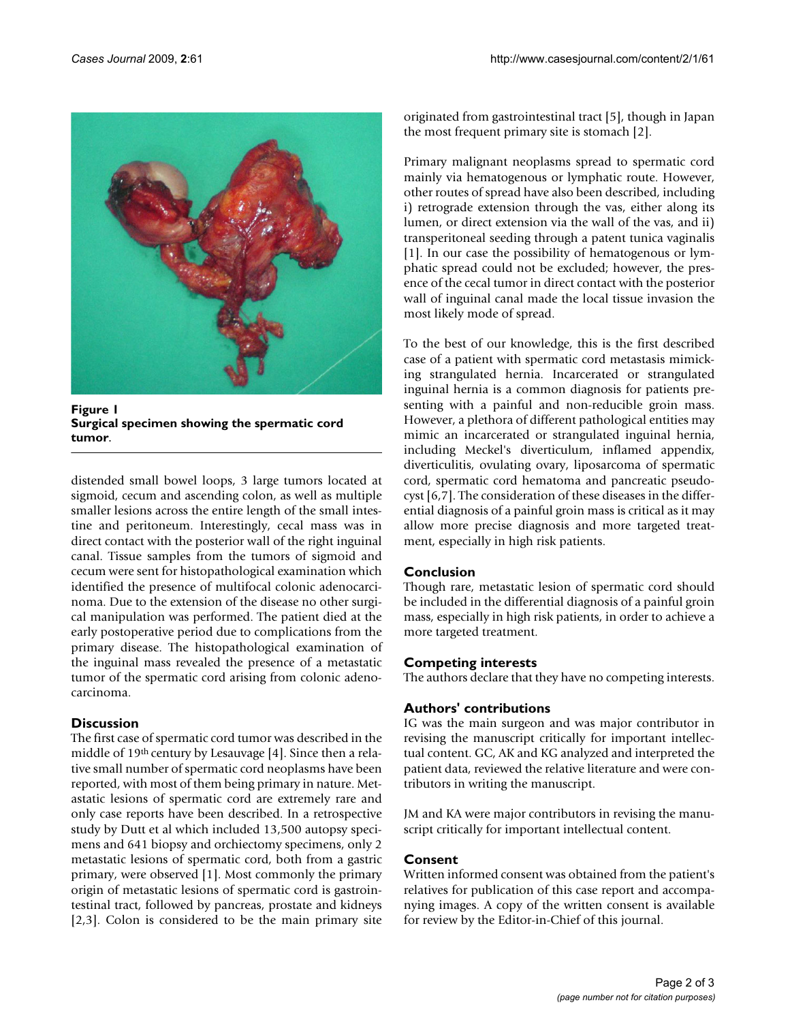<span id="page-1-0"></span>

**Figure 1 Surgical specimen showing the spermatic cord tumor**.

distended small bowel loops, 3 large tumors located at sigmoid, cecum and ascending colon, as well as multiple smaller lesions across the entire length of the small intestine and peritoneum. Interestingly, cecal mass was in direct contact with the posterior wall of the right inguinal canal. Tissue samples from the tumors of sigmoid and cecum were sent for histopathological examination which identified the presence of multifocal colonic adenocarcinoma. Due to the extension of the disease no other surgical manipulation was performed. The patient died at the early postoperative period due to complications from the primary disease. The histopathological examination of the inguinal mass revealed the presence of a metastatic tumor of the spermatic cord arising from colonic adenocarcinoma.

# **Discussion**

The first case of spermatic cord tumor was described in the middle of 19th century by Lesauvage [[4](#page-2-3)]. Since then a relative small number of spermatic cord neoplasms have been reported, with most of them being primary in nature. Metastatic lesions of spermatic cord are extremely rare and only case reports have been described. In a retrospective study by Dutt et al which included 13,500 autopsy specimens and 641 biopsy and orchiectomy specimens, only 2 metastatic lesions of spermatic cord, both from a gastric primary, were observed [\[1](#page-2-0)]. Most commonly the primary origin of metastatic lesions of spermatic cord is gastrointestinal tract, followed by pancreas, prostate and kidneys [[2](#page-2-1)[,3\]](#page-2-2). Colon is considered to be the main primary site originated from gastrointestinal tract [[5](#page-2-4)], though in Japan the most frequent primary site is stomach [\[2](#page-2-1)].

Primary malignant neoplasms spread to spermatic cord mainly via hematogenous or lymphatic route. However, other routes of spread have also been described, including i) retrograde extension through the vas, either along its lumen, or direct extension via the wall of the vas, and ii) transperitoneal seeding through a patent tunica vaginalis [[1\]](#page-2-0). In our case the possibility of hematogenous or lymphatic spread could not be excluded; however, the presence of the cecal tumor in direct contact with the posterior wall of inguinal canal made the local tissue invasion the most likely mode of spread.

To the best of our knowledge, this is the first described case of a patient with spermatic cord metastasis mimicking strangulated hernia. Incarcerated or strangulated inguinal hernia is a common diagnosis for patients presenting with a painful and non-reducible groin mass. However, a plethora of different pathological entities may mimic an incarcerated or strangulated inguinal hernia, including Meckel's diverticulum, inflamed appendix, diverticulitis, ovulating ovary, liposarcoma of spermatic cord, spermatic cord hematoma and pancreatic pseudocyst [\[6,](#page-2-5)[7\]](#page-2-6). The consideration of these diseases in the differential diagnosis of a painful groin mass is critical as it may allow more precise diagnosis and more targeted treatment, especially in high risk patients.

# **Conclusion**

Though rare, metastatic lesion of spermatic cord should be included in the differential diagnosis of a painful groin mass, especially in high risk patients, in order to achieve a more targeted treatment.

# **Competing interests**

The authors declare that they have no competing interests.

# **Authors' contributions**

IG was the main surgeon and was major contributor in revising the manuscript critically for important intellectual content. GC, AK and KG analyzed and interpreted the patient data, reviewed the relative literature and were contributors in writing the manuscript.

JM and KA were major contributors in revising the manuscript critically for important intellectual content.

# **Consent**

Written informed consent was obtained from the patient's relatives for publication of this case report and accompanying images. A copy of the written consent is available for review by the Editor-in-Chief of this journal.